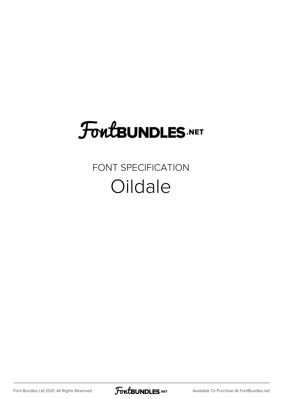## **FoutBUNDLES.NET**

#### FONT SPECIFICATION **Oildale**

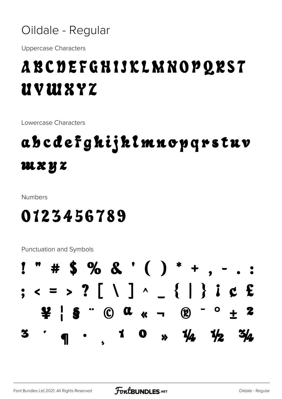

**Uppercase Characters** 

### A B C D E F G H I J K L M N O P Q R S T UVWXYZ

Lowercase Characters

### abcdefgkijklmnopqrstuv mxyz

Numbers

#### 0123456789

**Punctuation and Symbols** 

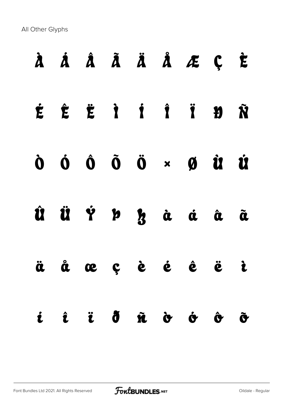All Other Glyphs

|  |  |  | À Á Â Ã Ä Å Æ Ç È |                      |
|--|--|--|-------------------|----------------------|
|  |  |  | É Ê Ë Ì İ Î Ï Đ Ñ |                      |
|  |  |  |                   |                      |
|  |  |  | Û Ü Ý Þ z à á â ã |                      |
|  |  |  | äåœçè é ê ë ì     |                      |
|  |  |  | i î ï ð ñ ò ó ô   | $\tilde{\mathbf{C}}$ |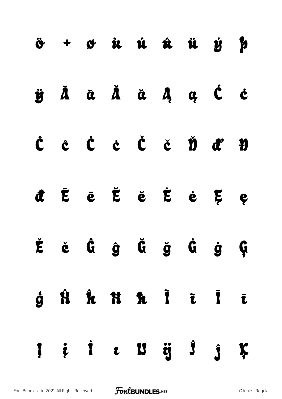|  | $\ddot{\sigma}$ + $\sigma$ <i>i i i i i j p</i>                                                                       |  |  |  |
|--|-----------------------------------------------------------------------------------------------------------------------|--|--|--|
|  | ÿĀā Ă ă Ã a Ą ą Ć ċ                                                                                                   |  |  |  |
|  | $\hat{C} \quad \hat{c} \quad \dot{C} \quad \dot{c} \quad \dot{C} \quad \dot{c} \quad \dot{D} \quad d^* \quad \dot{D}$ |  |  |  |
|  | đĒē Ĕě Ė ė Ę ę                                                                                                        |  |  |  |
|  | Ěě Ĝĝ Ğ ğ Ġ ġ Ģ                                                                                                       |  |  |  |
|  | ģĤ <b>ĥ fi</b> fi ī ī ī                                                                                               |  |  |  |
|  | $\begin{array}{cccccccccccccc} 1 & i & i & c & 13 & ij & 3 & j & k \end{array}$                                       |  |  |  |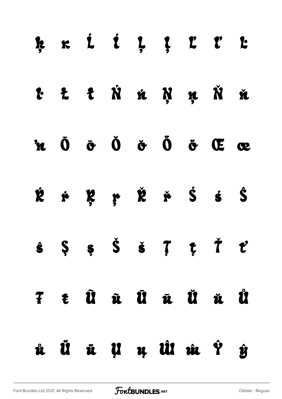|  |  | ķ k ĺ ĺ Ļ ļ Ľ ľ Ŀ                                                                                                                                                              |  |  |
|--|--|--------------------------------------------------------------------------------------------------------------------------------------------------------------------------------|--|--|
|  |  | t t t Ń n Ņ ņ Ň ň                                                                                                                                                              |  |  |
|  |  | $\mathbf{\dot{a}}$ $\mathbf{\dot{0}}$ $\mathbf{\dot{c}}$ $\mathbf{\dot{0}}$ $\mathbf{\dot{c}}$ $\mathbf{\ddot{0}}$ $\mathbf{\ddot{c}}$ $\mathbf{\ddot{c}}$ $\mathbf{\ddot{c}}$ |  |  |
|  |  | <b>ŘŕŖŗŘřŚśŜ</b>                                                                                                                                                               |  |  |
|  |  | $\hat{s} \quad \hat{s} \quad \hat{s} \quad \check{s} \quad \check{s} \quad \hat{\tau} \quad \hat{\tau} \quad \hat{\tau}$                                                       |  |  |
|  |  | F t Û û Û û Û û Û                                                                                                                                                              |  |  |
|  |  | û Ü ü U u Ûl û Ŷ ŷ                                                                                                                                                             |  |  |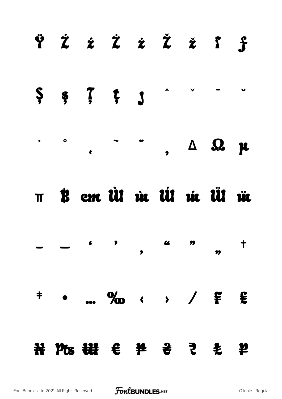



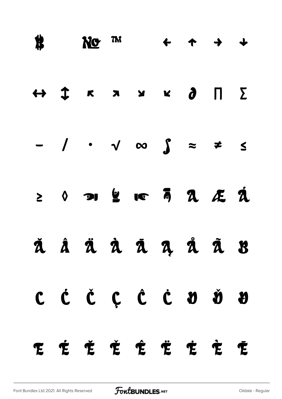|     | $\qquad \qquad \text{N0} \quad \text{m} \qquad \leftarrow \quad \text{m} \quad \rightarrow \quad \text{m}$           |  |  |   |
|-----|----------------------------------------------------------------------------------------------------------------------|--|--|---|
|     | $\leftrightarrow \updownarrow \quad \kappa \quad \star \quad \star \quad \star \quad \bullet \quad \Pi \quad \Sigma$ |  |  |   |
|     | $-$ / $\cdot$ $\sqrt{\infty}$ $\int$ $\approx$ $\neq$ $\leq$                                                         |  |  |   |
|     | $2$ $0$ or $2$ io $\overline{a}$ a $\underline{a}$ $\overline{a}$                                                    |  |  |   |
|     | ă â ä à ā a a å ā B                                                                                                  |  |  |   |
|     | $C$ $\dot{C}$ $C$ $C$ $C$ $D$ $\dot{D}$ $D$                                                                          |  |  |   |
| E É | Ě Ě Ê Ë Ė Ė                                                                                                          |  |  | È |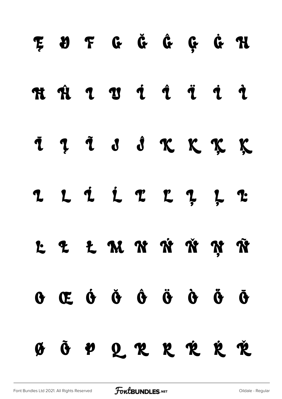# E Ø F G Ğ Ĝ G Ġ H **HHII THU THU THU HI** IIII SKKKK 2 L L L L L L L L L L L L M N N N N Ñ  $\ddot{\theta}$  (c  $\dot{\theta}$  (c)  $\ddot{\theta}$  (c)  $\ddot{\theta}$  (c)  $\ddot{\theta}$  (c)  $\ddot{\theta}$  (c)  $\ddot{\theta}$  (c)  $\ddot{\theta}$  (c)  $\ddot{\theta}$  (c)  $\ddot{\theta}$  (c)  $\ddot{\theta}$  (c)  $\ddot{\theta}$  (c)  $\ddot{\theta}$  (c)  $\ddot{\theta}$  (c)  $\ddot{\theta}$  (c)  $\ddot{\theta}$  (c)  $\ddot{\theta}$  (c)  $\$ Ø Õ P Q R R R R Ř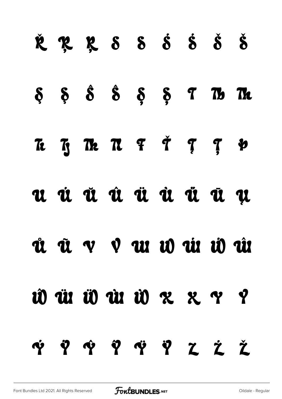# ŘRRS SŠŠŠ  $\delta$   $\delta$   $\delta$   $\delta$   $\delta$   $\delta$   $\delta$   $\sigma$   $\delta$ Te Ty The TL F T T T & u ú ŭ û ü û ü ü u ủ ũ v V w w ú ŵ ŵ id ür üd ür üd z z y y V Y Y Y Y Y Z Ž Ž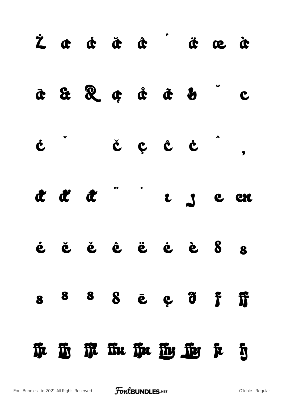|  | Fre His Fit Fit His His Fit His |                                               |  |                    |
|--|---------------------------------|-----------------------------------------------|--|--------------------|
|  | 8 8 8 8 <b>ē</b> e d f          |                                               |  | $\hat{\mathbf{r}}$ |
|  | <b>غ</b> ق ق ق ق ق ق 8 8        |                                               |  | $\bullet$          |
|  | aaa aa                          |                                               |  |                    |
|  | c čçcc',                        |                                               |  |                    |
|  | o do do do do                   |                                               |  |                    |
|  |                                 | $\dot{z}$ a $\dot{a}$ a $\dot{a}$ a $\dot{c}$ |  |                    |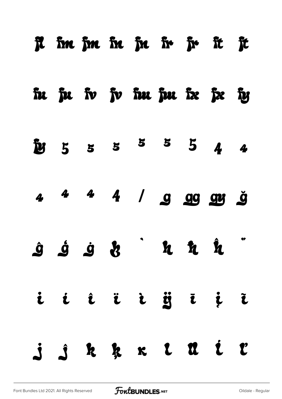|  |  |  | R im jm in jn ir jr it jt                                                                                                                                                                                                                                                                                                                                                                                                                       |  |
|--|--|--|-------------------------------------------------------------------------------------------------------------------------------------------------------------------------------------------------------------------------------------------------------------------------------------------------------------------------------------------------------------------------------------------------------------------------------------------------|--|
|  |  |  | in ju iv jv im jm iz jz iy                                                                                                                                                                                                                                                                                                                                                                                                                      |  |
|  |  |  | $\frac{5}{2}$ 5 5 5 5 5 4 4                                                                                                                                                                                                                                                                                                                                                                                                                     |  |
|  |  |  | 4 4 4 4 / 9 9 9 9 9 9                                                                                                                                                                                                                                                                                                                                                                                                                           |  |
|  |  |  | $\begin{array}{ccccccccccccc}\hat{\mathbf{g}}&\hat{\mathbf{g}}&\hat{\mathbf{g}}&\hat{\mathbf{g}}&\hat{\mathbf{g}}&\hat{\mathbf{g}}&\hat{\mathbf{g}}&\hat{\mathbf{g}}&\hat{\mathbf{g}}&\hat{\mathbf{g}}&\hat{\mathbf{g}}&\hat{\mathbf{g}}&\hat{\mathbf{g}}&\hat{\mathbf{g}}&\hat{\mathbf{g}}&\hat{\mathbf{g}}&\hat{\mathbf{g}}&\hat{\mathbf{g}}&\hat{\mathbf{g}}&\hat{\mathbf{g}}&\hat{\mathbf{g}}&\hat{\mathbf{g}}&\hat{\mathbf{g}}&\hat{\math$ |  |
|  |  |  | i i î î i ij ī į ī                                                                                                                                                                                                                                                                                                                                                                                                                              |  |
|  |  |  | j j k k k l û i l                                                                                                                                                                                                                                                                                                                                                                                                                               |  |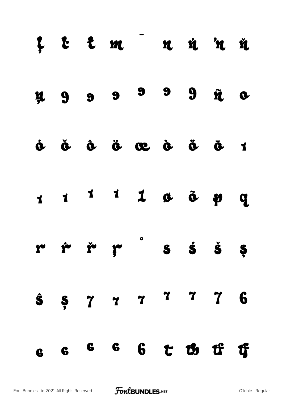|                                        |  | L E E m <sup>-</sup> n n n n n                                                                                                                                                                                                                                                                                                                                                                                                         |  |                    |  |
|----------------------------------------|--|----------------------------------------------------------------------------------------------------------------------------------------------------------------------------------------------------------------------------------------------------------------------------------------------------------------------------------------------------------------------------------------------------------------------------------------|--|--------------------|--|
|                                        |  | x 9 9 9 9 9 2 0                                                                                                                                                                                                                                                                                                                                                                                                                        |  |                    |  |
| $\dot{\mathbf{o}}$ $\ddot{\mathbf{o}}$ |  | $\dot{a}$ $\ddot{a}$ $\ddot{a}$ $\ddot{a}$                                                                                                                                                                                                                                                                                                                                                                                             |  | $\ddot{\bullet}$ 1 |  |
|                                        |  | $\begin{array}{ccccccccccccccccc} \textbf{1} & \textbf{1} & \textbf{1} & \textbf{1} & \textbf{1} & \textbf{1} & \textbf{1} & \textbf{1} & \textbf{1} & \textbf{1} & \textbf{1} & \textbf{1} & \textbf{1} & \textbf{1} & \textbf{1} & \textbf{1} & \textbf{1} & \textbf{1} & \textbf{1} & \textbf{1} & \textbf{1} & \textbf{1} & \textbf{1} & \textbf{1} & \textbf{1} & \textbf{1} & \textbf{1} & \textbf{1} & \textbf{1} & \textbf{1}$ |  |                    |  |
|                                        |  | $\begin{array}{ccccccccccccccccc} r & \dot r & \dot r & \dot r & \dot r & \dot s & \dot s & \dot s & \dot s & \dot s \end{array}$                                                                                                                                                                                                                                                                                                      |  |                    |  |
|                                        |  | $\hat{s}$ $\hat{s}$ $\hat{7}$ $\hat{7}$ $\hat{7}$ $\hat{7}$ $\hat{8}$                                                                                                                                                                                                                                                                                                                                                                  |  |                    |  |
|                                        |  | 6 6 6 6 6 7 1b 1f 1f                                                                                                                                                                                                                                                                                                                                                                                                                   |  |                    |  |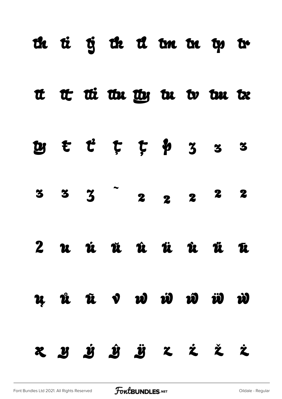|  |  |  | th ti tj th ti tm tn tp tr          |  |
|--|--|--|-------------------------------------|--|
|  |  |  | at the the the the to the tx        |  |
|  |  |  | $x$ $t$ $t$ $t$ $t$ $y$ $3$ $3$ $3$ |  |
|  |  |  | $3 \t3 \t3 \t2 \t2 \t2 \t3$         |  |
|  |  |  | 2 u û û û û û û û                   |  |
|  |  |  | u û û v w w w w w                   |  |
|  |  |  | x y j j j x i i                     |  |